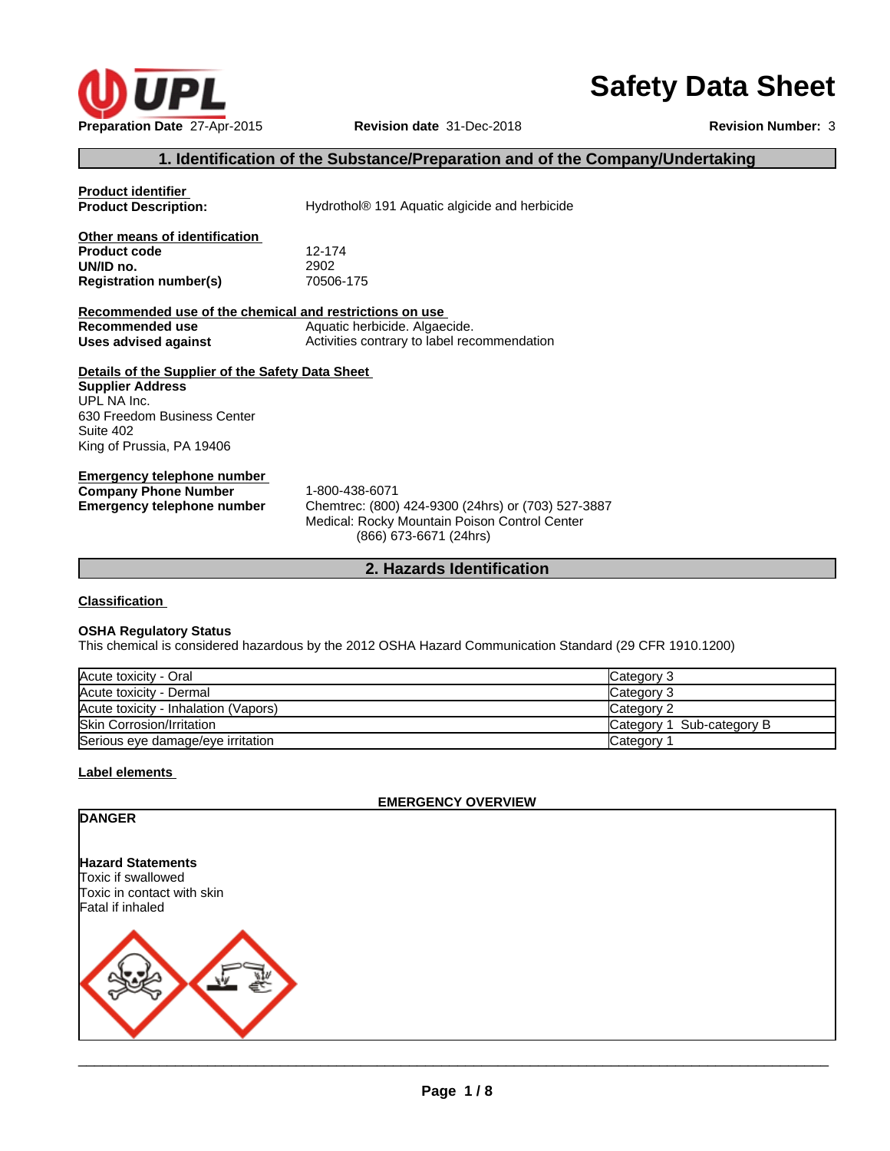

# **Safety Data Sheet**

# **1. Identification of the Substance/Preparation and of the Company/Undertaking**

| <b>Product identifier</b><br><b>Product Description:</b>                                                                                                            | Hydrothol <sup>®</sup> 191 Aquatic algicide and herbicide                                                                                       |
|---------------------------------------------------------------------------------------------------------------------------------------------------------------------|-------------------------------------------------------------------------------------------------------------------------------------------------|
| Other means of identification<br><b>Product code</b><br>UN/ID no.<br><b>Registration number(s)</b>                                                                  | 12-174<br>2902<br>70506-175                                                                                                                     |
| Recommended use of the chemical and restrictions on use                                                                                                             |                                                                                                                                                 |
| Recommended use                                                                                                                                                     | Aquatic herbicide. Algaecide.                                                                                                                   |
| Uses advised against                                                                                                                                                | Activities contrary to label recommendation                                                                                                     |
| Details of the Supplier of the Safety Data Sheet<br><b>Supplier Address</b><br>UPL NA Inc.<br>630 Freedom Business Center<br>Suite 402<br>King of Prussia, PA 19406 |                                                                                                                                                 |
| Emergency telephone number<br><b>Company Phone Number</b><br><b>Emergency telephone number</b>                                                                      | 1-800-438-6071<br>Chemtrec: (800) 424-9300 (24hrs) or (703) 527-3887<br>Medical: Rocky Mountain Poison Control Center<br>(866) 673-6671 (24hrs) |

**2. Hazards Identification**

# **Classification**

# **OSHA Regulatory Status**

This chemical is considered hazardous by the 2012 OSHA Hazard Communication Standard (29 CFR 1910.1200)

| Acute toxicity - Oral                | Category 3                |
|--------------------------------------|---------------------------|
| Acute toxicity - Dermal              | Category 3                |
| Acute toxicity - Inhalation (Vapors) | Category 2                |
| <b>Skin Corrosion/Irritation</b>     | Category 1 Sub-category B |
| Serious eye damage/eye irritation    | Category                  |

# **Label elements**

#### **EMERGENCY OVERVIEW**

| <b>DANGER</b>                                                                |
|------------------------------------------------------------------------------|
| <b>Hazard Statements</b><br>Toxic if swallowed<br>Toxic in contact with skin |
| Fatal if inhaled                                                             |
|                                                                              |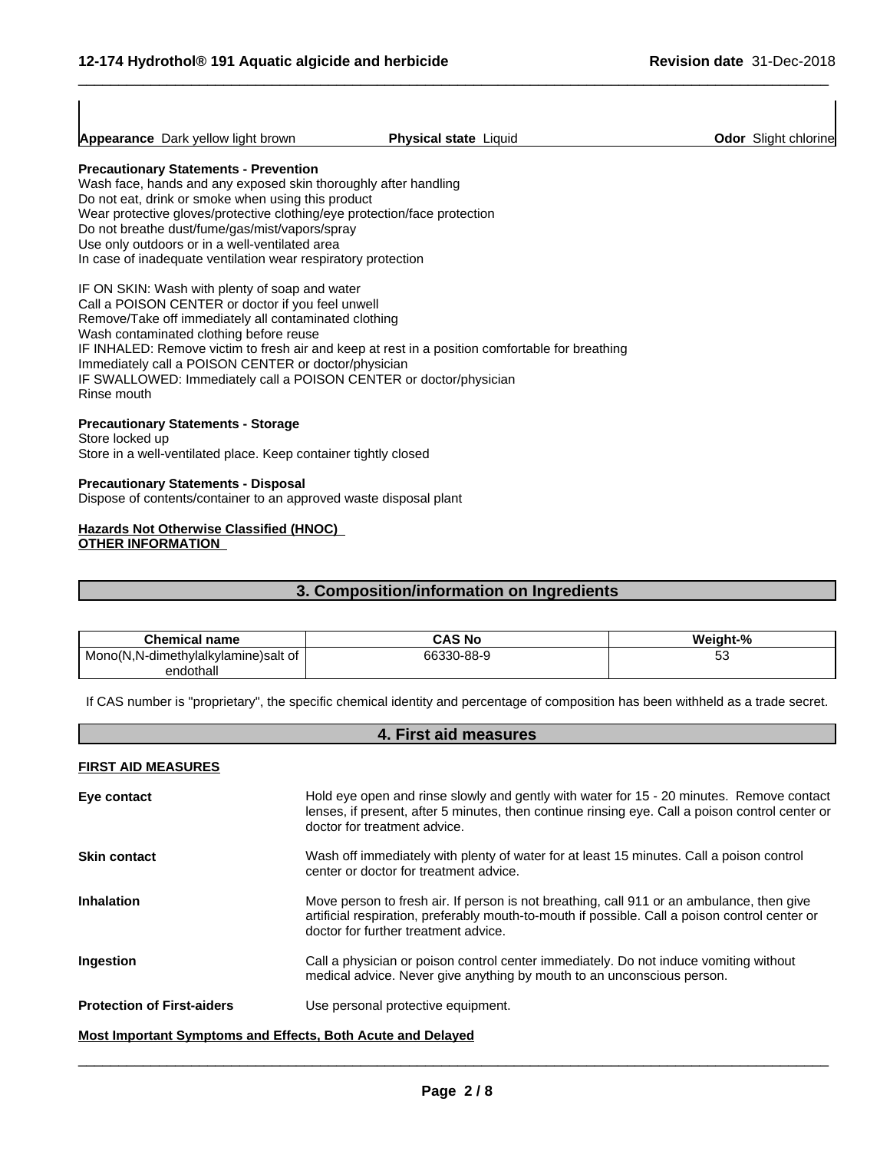|                 | Appearance Dark yellow light brown                                        | <b>Physical state Liquid</b>                                                                    | <b>Odor</b> Slight chlorine |  |
|-----------------|---------------------------------------------------------------------------|-------------------------------------------------------------------------------------------------|-----------------------------|--|
|                 | <b>Precautionary Statements - Prevention</b>                              |                                                                                                 |                             |  |
|                 | Wash face, hands and any exposed skin thoroughly after handling           |                                                                                                 |                             |  |
|                 | Do not eat, drink or smoke when using this product                        |                                                                                                 |                             |  |
|                 | Wear protective gloves/protective clothing/eye protection/face protection |                                                                                                 |                             |  |
|                 | Do not breathe dust/fume/gas/mist/vapors/spray                            |                                                                                                 |                             |  |
|                 | Use only outdoors or in a well-ventilated area                            |                                                                                                 |                             |  |
|                 | In case of inadequate ventilation wear respiratory protection             |                                                                                                 |                             |  |
|                 | IF ON SKIN: Wash with plenty of soap and water                            |                                                                                                 |                             |  |
|                 | Call a POISON CENTER or doctor if you feel unwell                         |                                                                                                 |                             |  |
|                 | Remove/Take off immediately all contaminated clothing                     |                                                                                                 |                             |  |
|                 | Wash contaminated clothing before reuse                                   |                                                                                                 |                             |  |
|                 |                                                                           | IF INHALED: Remove victim to fresh air and keep at rest in a position comfortable for breathing |                             |  |
|                 | Immediately call a POISON CENTER or doctor/physician                      |                                                                                                 |                             |  |
|                 |                                                                           | IF SWALLOWED: Immediately call a POISON CENTER or doctor/physician                              |                             |  |
| Rinse mouth     |                                                                           |                                                                                                 |                             |  |
|                 | <b>Precautionary Statements - Storage</b>                                 |                                                                                                 |                             |  |
| Store locked up |                                                                           |                                                                                                 |                             |  |
|                 | Store in a well-ventilated place. Keep container tightly closed           |                                                                                                 |                             |  |

 $\overline{\phantom{a}}$  ,  $\overline{\phantom{a}}$  ,  $\overline{\phantom{a}}$  ,  $\overline{\phantom{a}}$  ,  $\overline{\phantom{a}}$  ,  $\overline{\phantom{a}}$  ,  $\overline{\phantom{a}}$  ,  $\overline{\phantom{a}}$  ,  $\overline{\phantom{a}}$  ,  $\overline{\phantom{a}}$  ,  $\overline{\phantom{a}}$  ,  $\overline{\phantom{a}}$  ,  $\overline{\phantom{a}}$  ,  $\overline{\phantom{a}}$  ,  $\overline{\phantom{a}}$  ,  $\overline{\phantom{a}}$ 

**Precautionary Statements - Disposal** Dispose of contents/container to an approved waste disposal plant

## **Hazards Not Otherwise Classified (HNOC) OTHER INFORMATION**

# **3. Composition/information on Ingredients**

| <b>Chemical name</b>                            | <b>CAS No</b> | Weight-% |
|-------------------------------------------------|---------------|----------|
| nvlalkvlamine)salt of<br>N.N-dimethv<br>Mono(N. | 66330-88-9    | ິ        |
| endothall                                       |               |          |

If CAS number is "proprietary", the specific chemical identity and percentage of composition has been withheld as a trade secret.

# **4. First aid measures**

## **FIRST AID MEASURES**

| Eye contact                                                 | Hold eye open and rinse slowly and gently with water for 15 - 20 minutes. Remove contact<br>lenses, if present, after 5 minutes, then continue rinsing eye. Call a poison control center or<br>doctor for treatment advice.         |  |  |  |
|-------------------------------------------------------------|-------------------------------------------------------------------------------------------------------------------------------------------------------------------------------------------------------------------------------------|--|--|--|
| <b>Skin contact</b>                                         | Wash off immediately with plenty of water for at least 15 minutes. Call a poison control<br>center or doctor for treatment advice.                                                                                                  |  |  |  |
| <b>Inhalation</b>                                           | Move person to fresh air. If person is not breathing, call 911 or an ambulance, then give<br>artificial respiration, preferably mouth-to-mouth if possible. Call a poison control center or<br>doctor for further treatment advice. |  |  |  |
| Ingestion                                                   | Call a physician or poison control center immediately. Do not induce vomiting without<br>medical advice. Never give anything by mouth to an unconscious person.                                                                     |  |  |  |
| <b>Protection of First-aiders</b>                           | Use personal protective equipment.                                                                                                                                                                                                  |  |  |  |
| Most Important Symptoms and Effects, Both Acute and Delayed |                                                                                                                                                                                                                                     |  |  |  |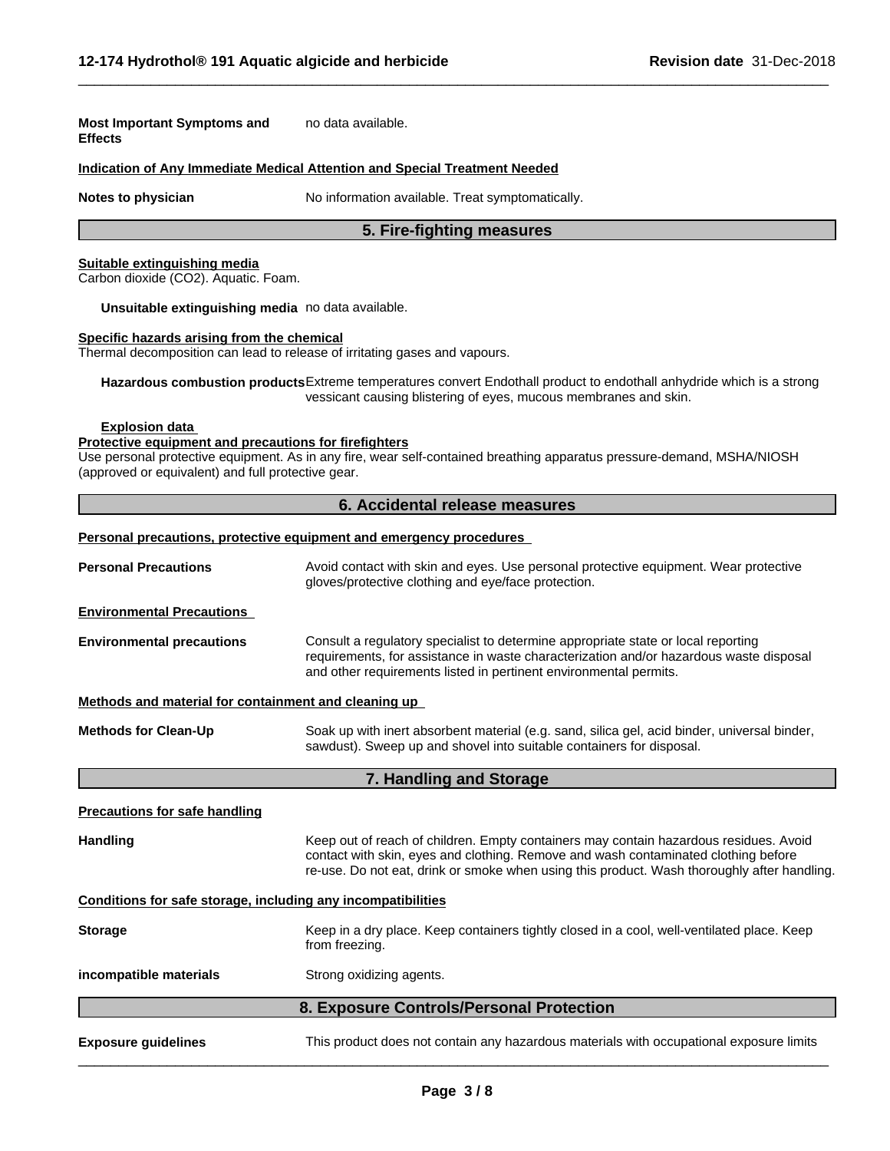| <b>Most Important Symptoms and</b><br><b>Effects</b>                                                                                 | no data available.                                                                                                                                                                                                                                                         |
|--------------------------------------------------------------------------------------------------------------------------------------|----------------------------------------------------------------------------------------------------------------------------------------------------------------------------------------------------------------------------------------------------------------------------|
|                                                                                                                                      | Indication of Any Immediate Medical Attention and Special Treatment Needed                                                                                                                                                                                                 |
| Notes to physician                                                                                                                   | No information available. Treat symptomatically.                                                                                                                                                                                                                           |
|                                                                                                                                      | 5. Fire-fighting measures                                                                                                                                                                                                                                                  |
| Suitable extinguishing media<br>Carbon dioxide (CO2). Aquatic. Foam.                                                                 |                                                                                                                                                                                                                                                                            |
| Unsuitable extinguishing media no data available.                                                                                    |                                                                                                                                                                                                                                                                            |
| Specific hazards arising from the chemical                                                                                           | Thermal decomposition can lead to release of irritating gases and vapours.                                                                                                                                                                                                 |
|                                                                                                                                      | Hazardous combustion products Extreme temperatures convert Endothall product to endothall anhydride which is a strong<br>vessicant causing blistering of eyes, mucous membranes and skin.                                                                                  |
| <b>Explosion data</b><br>Protective equipment and precautions for firefighters<br>(approved or equivalent) and full protective gear. | Use personal protective equipment. As in any fire, wear self-contained breathing apparatus pressure-demand, MSHA/NIOSH                                                                                                                                                     |
|                                                                                                                                      | 6. Accidental release measures                                                                                                                                                                                                                                             |
|                                                                                                                                      | Personal precautions, protective equipment and emergency procedures                                                                                                                                                                                                        |
| <b>Personal Precautions</b>                                                                                                          | Avoid contact with skin and eyes. Use personal protective equipment. Wear protective<br>gloves/protective clothing and eye/face protection.                                                                                                                                |
| <b>Environmental Precautions</b>                                                                                                     |                                                                                                                                                                                                                                                                            |
| <b>Environmental precautions</b>                                                                                                     | Consult a regulatory specialist to determine appropriate state or local reporting<br>requirements, for assistance in waste characterization and/or hazardous waste disposal<br>and other requirements listed in pertinent environmental permits.                           |
| Methods and material for containment and cleaning up                                                                                 |                                                                                                                                                                                                                                                                            |
| <b>Methods for Clean-Up</b>                                                                                                          | Soak up with inert absorbent material (e.g. sand, silica gel, acid binder, universal binder,<br>sawdust). Sweep up and shovel into suitable containers for disposal.                                                                                                       |
|                                                                                                                                      | 7. Handling and Storage                                                                                                                                                                                                                                                    |
| <b>Precautions for safe handling</b>                                                                                                 |                                                                                                                                                                                                                                                                            |
| <b>Handling</b>                                                                                                                      | Keep out of reach of children. Empty containers may contain hazardous residues. Avoid<br>contact with skin, eyes and clothing. Remove and wash contaminated clothing before<br>re-use. Do not eat, drink or smoke when using this product. Wash thoroughly after handling. |
| Conditions for safe storage, including any incompatibilities                                                                         |                                                                                                                                                                                                                                                                            |
| <b>Storage</b>                                                                                                                       | Keep in a dry place. Keep containers tightly closed in a cool, well-ventilated place. Keep<br>from freezing.                                                                                                                                                               |
| incompatible materials                                                                                                               | Strong oxidizing agents.                                                                                                                                                                                                                                                   |
|                                                                                                                                      | 8. Exposure Controls/Personal Protection                                                                                                                                                                                                                                   |
| <b>Exposure guidelines</b>                                                                                                           | This product does not contain any hazardous materials with occupational exposure limits                                                                                                                                                                                    |

 $\overline{\phantom{a}}$  ,  $\overline{\phantom{a}}$  ,  $\overline{\phantom{a}}$  ,  $\overline{\phantom{a}}$  ,  $\overline{\phantom{a}}$  ,  $\overline{\phantom{a}}$  ,  $\overline{\phantom{a}}$  ,  $\overline{\phantom{a}}$  ,  $\overline{\phantom{a}}$  ,  $\overline{\phantom{a}}$  ,  $\overline{\phantom{a}}$  ,  $\overline{\phantom{a}}$  ,  $\overline{\phantom{a}}$  ,  $\overline{\phantom{a}}$  ,  $\overline{\phantom{a}}$  ,  $\overline{\phantom{a}}$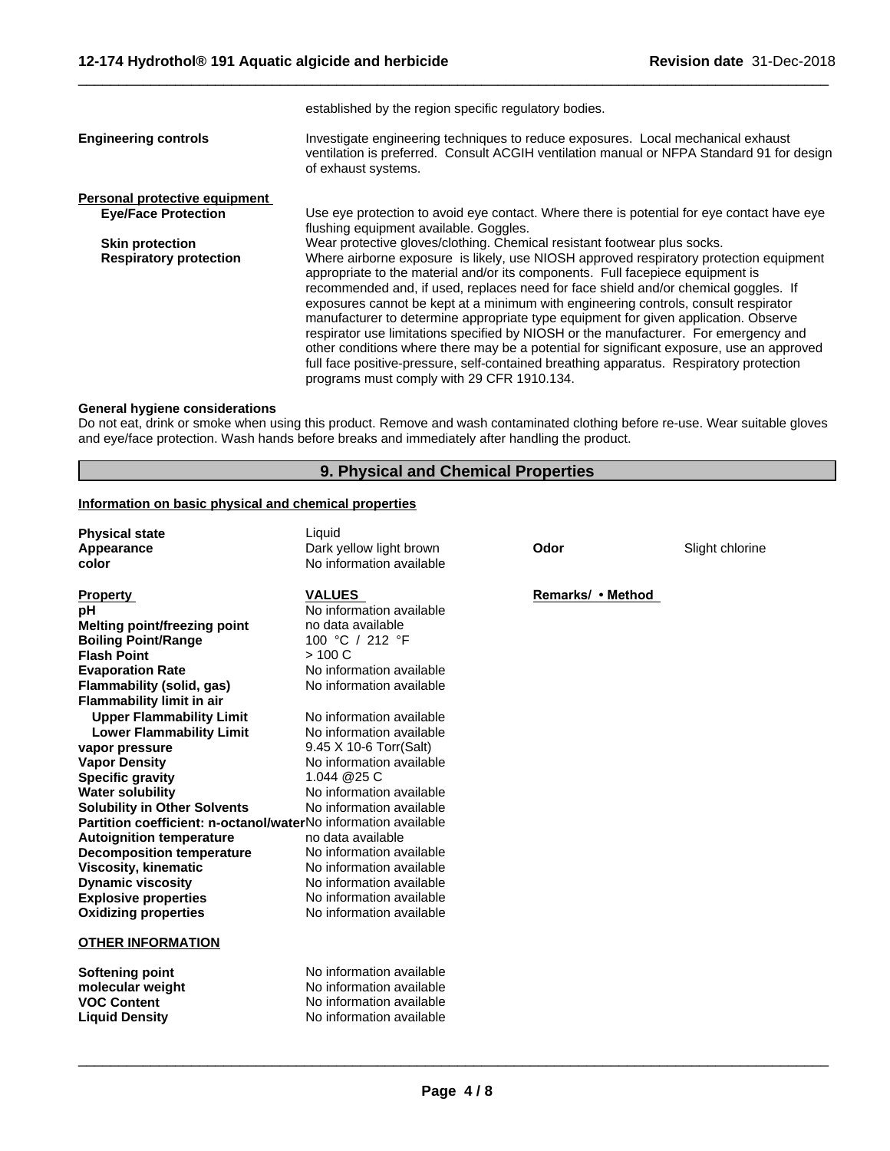|                               | established by the region specific regulatory bodies.                                                                                                                                                                                                                                                                                                                                                                                                                                                                                                                                                                                                                                                                                                                       |  |
|-------------------------------|-----------------------------------------------------------------------------------------------------------------------------------------------------------------------------------------------------------------------------------------------------------------------------------------------------------------------------------------------------------------------------------------------------------------------------------------------------------------------------------------------------------------------------------------------------------------------------------------------------------------------------------------------------------------------------------------------------------------------------------------------------------------------------|--|
| <b>Engineering controls</b>   | Investigate engineering techniques to reduce exposures. Local mechanical exhaust<br>ventilation is preferred. Consult ACGIH ventilation manual or NFPA Standard 91 for design<br>of exhaust systems.                                                                                                                                                                                                                                                                                                                                                                                                                                                                                                                                                                        |  |
| Personal protective equipment |                                                                                                                                                                                                                                                                                                                                                                                                                                                                                                                                                                                                                                                                                                                                                                             |  |
| <b>Eye/Face Protection</b>    | Use eye protection to avoid eye contact. Where there is potential for eye contact have eye<br>flushing equipment available. Goggles.                                                                                                                                                                                                                                                                                                                                                                                                                                                                                                                                                                                                                                        |  |
| <b>Skin protection</b>        | Wear protective gloves/clothing. Chemical resistant footwear plus socks.                                                                                                                                                                                                                                                                                                                                                                                                                                                                                                                                                                                                                                                                                                    |  |
| <b>Respiratory protection</b> | Where airborne exposure is likely, use NIOSH approved respiratory protection equipment<br>appropriate to the material and/or its components. Full facepiece equipment is<br>recommended and, if used, replaces need for face shield and/or chemical goggles. If<br>exposures cannot be kept at a minimum with engineering controls, consult respirator<br>manufacturer to determine appropriate type equipment for given application. Observe<br>respirator use limitations specified by NIOSH or the manufacturer. For emergency and<br>other conditions where there may be a potential for significant exposure, use an approved<br>full face positive-pressure, self-contained breathing apparatus. Respiratory protection<br>programs must comply with 29 CFR 1910.134. |  |

 $\overline{\phantom{a}}$  ,  $\overline{\phantom{a}}$  ,  $\overline{\phantom{a}}$  ,  $\overline{\phantom{a}}$  ,  $\overline{\phantom{a}}$  ,  $\overline{\phantom{a}}$  ,  $\overline{\phantom{a}}$  ,  $\overline{\phantom{a}}$  ,  $\overline{\phantom{a}}$  ,  $\overline{\phantom{a}}$  ,  $\overline{\phantom{a}}$  ,  $\overline{\phantom{a}}$  ,  $\overline{\phantom{a}}$  ,  $\overline{\phantom{a}}$  ,  $\overline{\phantom{a}}$  ,  $\overline{\phantom{a}}$ 

# **General hygiene considerations**

Do not eat, drink or smoke when using this product. Remove and wash contaminated clothing before re-use. Wear suitable gloves and eye/face protection. Wash hands before breaks and immediately after handling the product.

# **9. Physical and Chemical Properties**

# **Information on basic physical and chemical properties**

| <b>Physical state</b>                                                 | Liquid                   |                   |                 |
|-----------------------------------------------------------------------|--------------------------|-------------------|-----------------|
| Appearance                                                            | Dark yellow light brown  | Odor              | Slight chlorine |
| color                                                                 | No information available |                   |                 |
| <b>Property</b>                                                       | <b>VALUES</b>            | Remarks/ • Method |                 |
| рH                                                                    | No information available |                   |                 |
| Melting point/freezing point                                          | no data available        |                   |                 |
| <b>Boiling Point/Range</b>                                            | 100 °C / 212 °F          |                   |                 |
| <b>Flash Point</b>                                                    | > 100 C                  |                   |                 |
| <b>Evaporation Rate</b>                                               | No information available |                   |                 |
| Flammability (solid, gas)                                             | No information available |                   |                 |
| <b>Flammability limit in air</b>                                      |                          |                   |                 |
| <b>Upper Flammability Limit</b>                                       | No information available |                   |                 |
| <b>Lower Flammability Limit</b>                                       | No information available |                   |                 |
| vapor pressure                                                        | 9.45 X 10-6 Torr(Salt)   |                   |                 |
| <b>Vapor Density</b>                                                  | No information available |                   |                 |
| <b>Specific gravity</b>                                               | 1.044 @25 C              |                   |                 |
| <b>Water solubility</b>                                               | No information available |                   |                 |
| <b>Solubility in Other Solvents</b>                                   | No information available |                   |                 |
| <b>Partition coefficient: n-octanol/waterNo information available</b> |                          |                   |                 |
| <b>Autoignition temperature</b>                                       | no data available        |                   |                 |
| <b>Decomposition temperature</b>                                      | No information available |                   |                 |
| <b>Viscosity, kinematic</b>                                           | No information available |                   |                 |
| <b>Dynamic viscosity</b>                                              | No information available |                   |                 |
| <b>Explosive properties</b>                                           | No information available |                   |                 |
| <b>Oxidizing properties</b>                                           | No information available |                   |                 |
| <b>OTHER INFORMATION</b>                                              |                          |                   |                 |
| Softening point                                                       | No information available |                   |                 |
| molecular weight                                                      | No information available |                   |                 |
| <b>VOC Content</b>                                                    | No information available |                   |                 |
| <b>Liquid Density</b>                                                 | No information available |                   |                 |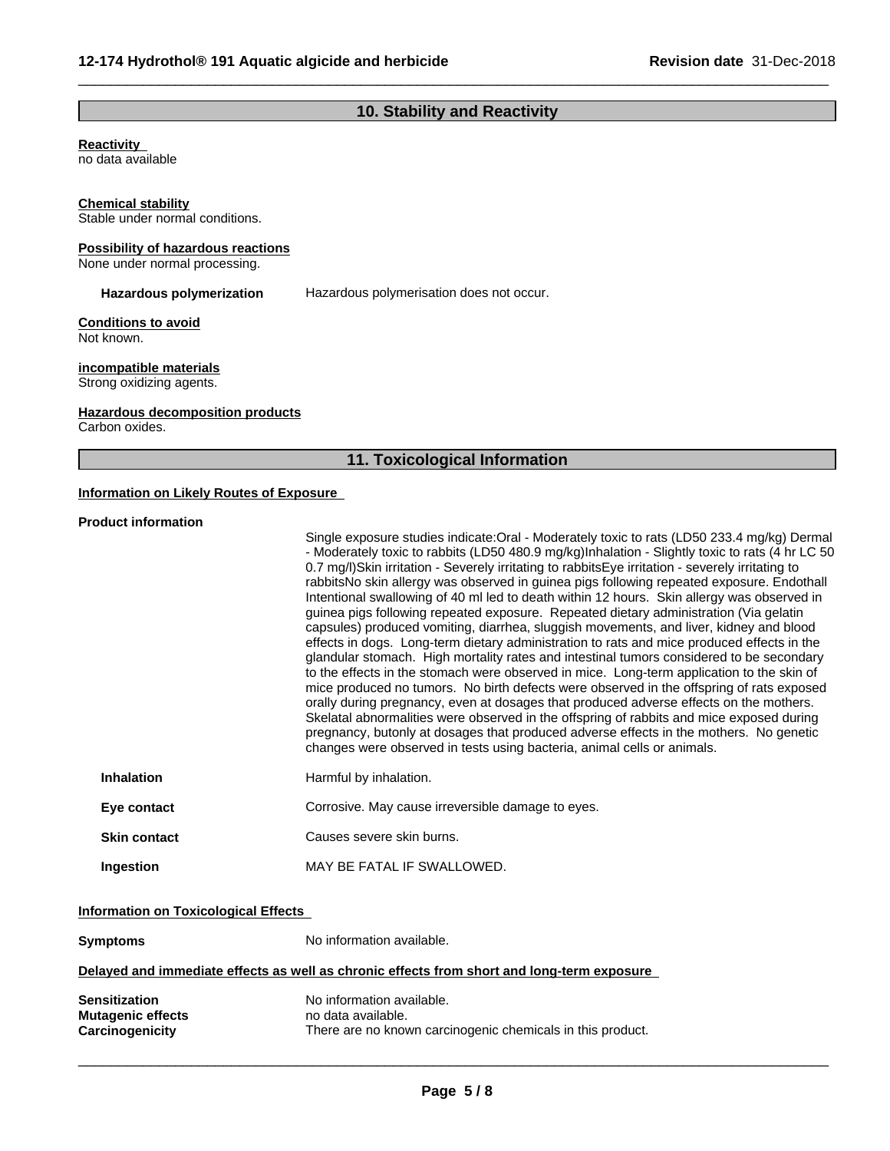# **10. Stability and Reactivity**

 $\overline{\phantom{a}}$  ,  $\overline{\phantom{a}}$  ,  $\overline{\phantom{a}}$  ,  $\overline{\phantom{a}}$  ,  $\overline{\phantom{a}}$  ,  $\overline{\phantom{a}}$  ,  $\overline{\phantom{a}}$  ,  $\overline{\phantom{a}}$  ,  $\overline{\phantom{a}}$  ,  $\overline{\phantom{a}}$  ,  $\overline{\phantom{a}}$  ,  $\overline{\phantom{a}}$  ,  $\overline{\phantom{a}}$  ,  $\overline{\phantom{a}}$  ,  $\overline{\phantom{a}}$  ,  $\overline{\phantom{a}}$ 

## **Reactivity**

no data available

#### **Chemical stability**

Stable under normal conditions.

#### **Possibility of hazardous reactions**

None under normal processing.

**Hazardous polymerization** Hazardous polymerisation does not occur.

#### **Conditions to avoid** Not known.

**incompatible materials**

Strong oxidizing agents.

# **Hazardous decomposition products**

Carbon oxides.

# **11. Toxicological Information**

# **Information on Likely Routes of Exposure**

#### **Product information**

|                     | Single exposure studies indicate: Oral - Moderately toxic to rats (LD50 233.4 mg/kg) Dermal<br>- Moderately toxic to rabbits (LD50 480.9 mg/kg)Inhalation - Slightly toxic to rats (4 hr LC 50<br>0.7 mg/l)Skin irritation - Severely irritating to rabbits Eye irritation - severely irritating to<br>rabbitsNo skin allergy was observed in guinea pigs following repeated exposure. Endothall<br>Intentional swallowing of 40 ml led to death within 12 hours. Skin allergy was observed in<br>guinea pigs following repeated exposure. Repeated dietary administration (Via gelatin<br>capsules) produced vomiting, diarrhea, sluggish movements, and liver, kidney and blood<br>effects in dogs. Long-term dietary administration to rats and mice produced effects in the<br>glandular stomach. High mortality rates and intestinal tumors considered to be secondary<br>to the effects in the stomach were observed in mice. Long-term application to the skin of<br>mice produced no tumors. No birth defects were observed in the offspring of rats exposed<br>orally during pregnancy, even at dosages that produced adverse effects on the mothers.<br>Skelatal abnormalities were observed in the offspring of rabbits and mice exposed during<br>pregnancy, butonly at dosages that produced adverse effects in the mothers. No genetic<br>changes were observed in tests using bacteria, animal cells or animals. |
|---------------------|---------------------------------------------------------------------------------------------------------------------------------------------------------------------------------------------------------------------------------------------------------------------------------------------------------------------------------------------------------------------------------------------------------------------------------------------------------------------------------------------------------------------------------------------------------------------------------------------------------------------------------------------------------------------------------------------------------------------------------------------------------------------------------------------------------------------------------------------------------------------------------------------------------------------------------------------------------------------------------------------------------------------------------------------------------------------------------------------------------------------------------------------------------------------------------------------------------------------------------------------------------------------------------------------------------------------------------------------------------------------------------------------------------------------------------|
| <b>Inhalation</b>   | Harmful by inhalation.                                                                                                                                                                                                                                                                                                                                                                                                                                                                                                                                                                                                                                                                                                                                                                                                                                                                                                                                                                                                                                                                                                                                                                                                                                                                                                                                                                                                          |
| Eye contact         | Corrosive. May cause irreversible damage to eyes.                                                                                                                                                                                                                                                                                                                                                                                                                                                                                                                                                                                                                                                                                                                                                                                                                                                                                                                                                                                                                                                                                                                                                                                                                                                                                                                                                                               |
| <b>Skin contact</b> | Causes severe skin burns.                                                                                                                                                                                                                                                                                                                                                                                                                                                                                                                                                                                                                                                                                                                                                                                                                                                                                                                                                                                                                                                                                                                                                                                                                                                                                                                                                                                                       |
| Ingestion           | MAY BE FATAL IF SWALLOWED.                                                                                                                                                                                                                                                                                                                                                                                                                                                                                                                                                                                                                                                                                                                                                                                                                                                                                                                                                                                                                                                                                                                                                                                                                                                                                                                                                                                                      |

# **Information on Toxicological Effects**

| Symptoms                                              | No information available.                                                                                     |
|-------------------------------------------------------|---------------------------------------------------------------------------------------------------------------|
|                                                       | Delayed and immediate effects as well as chronic effects from short and long-term exposure                    |
| Sensitization<br>Mutagenic effects<br>Carcinogenicity | No information available.<br>no data available.<br>There are no known carcinogenic chemicals in this product. |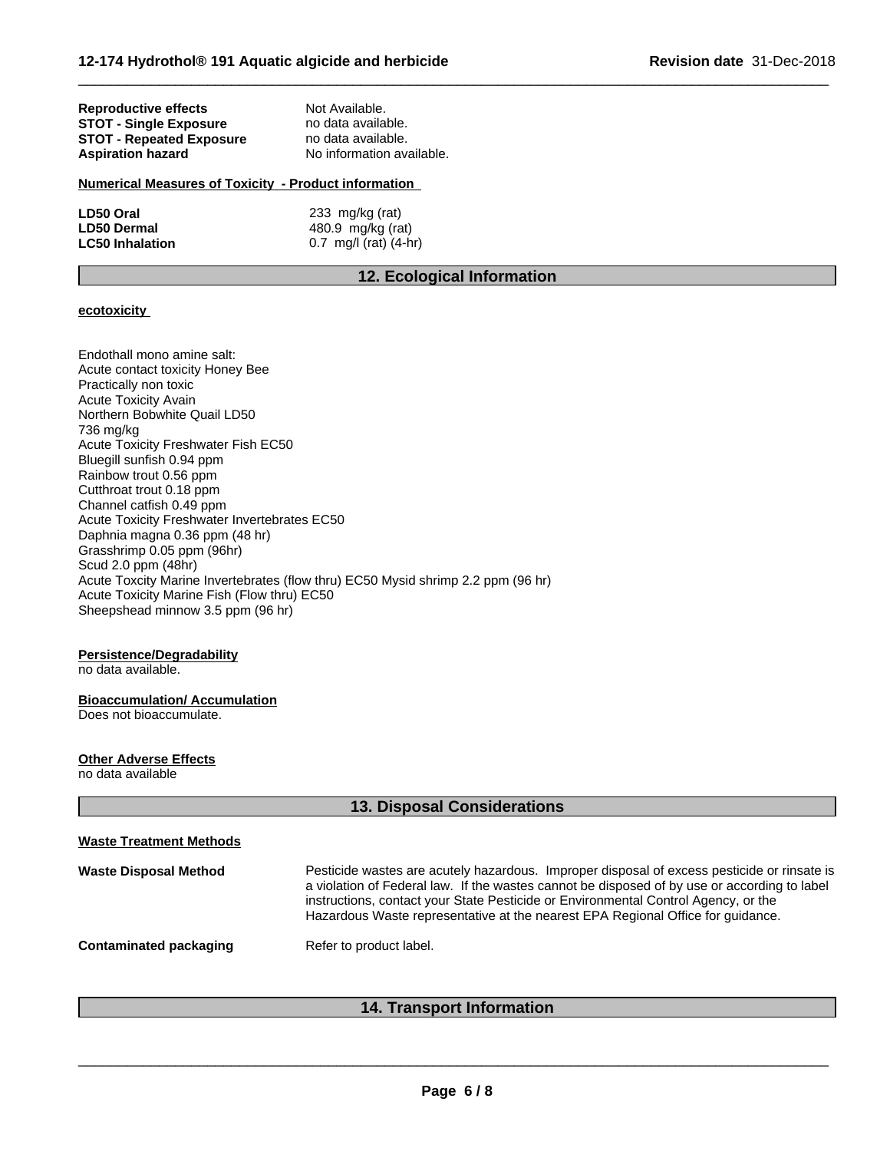| Reproductive effects            | Not Available.            |  |
|---------------------------------|---------------------------|--|
| <b>STOT - Single Exposure</b>   | no data available.        |  |
| <b>STOT - Repeated Exposure</b> | no data available.        |  |
| <b>Aspiration hazard</b>        | No information available. |  |
|                                 |                           |  |

# **Numerical Measures of Toxicity - Product information**

| LD50 Oral              | 233 mg/kg (rat)         |
|------------------------|-------------------------|
| <b>LD50 Dermal</b>     | 480.9 mg/kg (rat)       |
| <b>LC50 Inhalation</b> | 0.7 mg/l (rat) $(4-hr)$ |

# **12. Ecological Information**

 $\overline{\phantom{a}}$  ,  $\overline{\phantom{a}}$  ,  $\overline{\phantom{a}}$  ,  $\overline{\phantom{a}}$  ,  $\overline{\phantom{a}}$  ,  $\overline{\phantom{a}}$  ,  $\overline{\phantom{a}}$  ,  $\overline{\phantom{a}}$  ,  $\overline{\phantom{a}}$  ,  $\overline{\phantom{a}}$  ,  $\overline{\phantom{a}}$  ,  $\overline{\phantom{a}}$  ,  $\overline{\phantom{a}}$  ,  $\overline{\phantom{a}}$  ,  $\overline{\phantom{a}}$  ,  $\overline{\phantom{a}}$ 

## **ecotoxicity**

Endothall mono amine salt: Acute contact toxicity Honey Bee Practically non toxic Acute Toxicity Avain Northern Bobwhite Quail LD50 736 mg/kg Acute Toxicity Freshwater Fish EC50 Bluegill sunfish 0.94 ppm Rainbow trout 0.56 ppm Cutthroat trout 0.18 ppm Channel catfish 0.49 ppm Acute Toxicity Freshwater Invertebrates EC50 Daphnia magna 0.36 ppm (48 hr) Grasshrimp 0.05 ppm (96hr) Scud 2.0 ppm (48hr) Acute Toxcity Marine Invertebrates (flow thru) EC50 Mysid shrimp 2.2 ppm (96 hr) Acute Toxicity Marine Fish (Flow thru) EC50 Sheepshead minnow 3.5 ppm (96 hr)

## **Persistence/Degradability**

no data available.

#### **Bioaccumulation/ Accumulation** Does not bioaccumulate.

**Other Adverse Effects**

no data available

| <b>Waste Treatment Methods</b>                                                                                                                                                                                                                                                                                                                                                                       |
|------------------------------------------------------------------------------------------------------------------------------------------------------------------------------------------------------------------------------------------------------------------------------------------------------------------------------------------------------------------------------------------------------|
| Pesticide wastes are acutely hazardous. Improper disposal of excess pesticide or rinsate is<br><b>Waste Disposal Method</b><br>a violation of Federal law. If the wastes cannot be disposed of by use or according to label<br>instructions, contact your State Pesticide or Environmental Control Agency, or the<br>Hazardous Waste representative at the nearest EPA Regional Office for guidance. |
| Refer to product label.<br><b>Contaminated packaging</b>                                                                                                                                                                                                                                                                                                                                             |

# **14. Transport Information**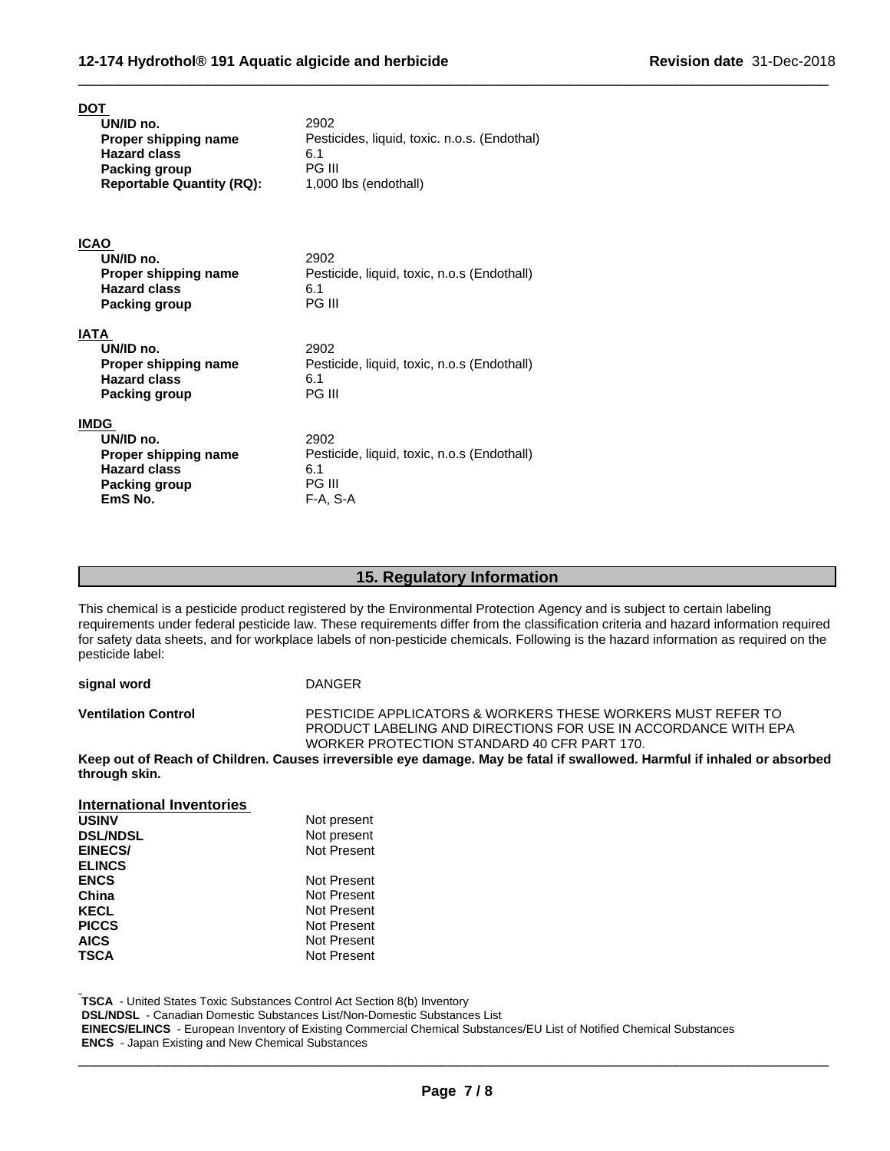| DOT<br>UN/ID no.                                  | 2902                                                |
|---------------------------------------------------|-----------------------------------------------------|
| Proper shipping name<br><b>Hazard class</b>       | Pesticides, liquid, toxic. n.o.s. (Endothal)<br>6.1 |
| Packing group<br><b>Reportable Quantity (RQ):</b> | PG III<br>1,000 lbs (endothall)                     |
|                                                   |                                                     |
|                                                   |                                                     |
| <b>ICAO</b><br>UN/ID no.                          | 2902                                                |
| Proper shipping name                              | Pesticide, liquid, toxic, n.o.s (Endothall)         |
| <b>Hazard class</b>                               | 6.1                                                 |
| Packing group                                     | PG III                                              |
| <b>IATA</b>                                       |                                                     |
| UN/ID no.                                         | 2902                                                |
| Proper shipping name<br><b>Hazard class</b>       | Pesticide, liquid, toxic, n.o.s (Endothall)<br>6.1  |
| <b>Packing group</b>                              | PG III                                              |
| <b>IMDG</b>                                       |                                                     |
| UN/ID no.                                         | 2902                                                |
| Proper shipping name                              | Pesticide, liquid, toxic, n.o.s (Endothall)         |
| <b>Hazard class</b>                               | 6.1<br>PG III                                       |
| Packing group<br>EmS No.                          | F-A, S-A                                            |

# **15. Regulatory Information**

This chemical is a pesticide product registered by the Environmental Protection Agency and is subject to certain labeling requirements under federal pesticide law. These requirements differ from the classification criteria and hazard information required for safety data sheets, and for workplace labels of non-pesticide chemicals. Following is the hazard information as required on the pesticide label:

**signal word** DANGER

**Ventilation Control** PESTICIDE APPLICATORS & WORKERS THESE WORKERS MUST REFER TO PRODUCT LABELING AND DIRECTIONS FOR USE IN ACCORDANCE WITH EPA WORKER PROTECTION STANDARD 40 CFR PART 170.

 $\overline{\phantom{a}}$  ,  $\overline{\phantom{a}}$  ,  $\overline{\phantom{a}}$  ,  $\overline{\phantom{a}}$  ,  $\overline{\phantom{a}}$  ,  $\overline{\phantom{a}}$  ,  $\overline{\phantom{a}}$  ,  $\overline{\phantom{a}}$  ,  $\overline{\phantom{a}}$  ,  $\overline{\phantom{a}}$  ,  $\overline{\phantom{a}}$  ,  $\overline{\phantom{a}}$  ,  $\overline{\phantom{a}}$  ,  $\overline{\phantom{a}}$  ,  $\overline{\phantom{a}}$  ,  $\overline{\phantom{a}}$ 

Keep out of Reach of Children. Causes irreversible eye damage. May be fatal if swallowed. Harmful if inhaled or absorbed **through skin.**

**International Inventories USINV** Not present<br>
DSL/NDSL<br>
Not present **Not present EINECS/ ELINCS** Not Present **ENCS** Not Present<br> **China** Not Present **China** Not Present<br> **KECL** Not Present **KECL**<br> **PICCS** Not Present<br>
Not Present **Not Present** AICS Not Present **TSCA** Not Present

 **TSCA** - United States Toxic Substances Control Act Section 8(b) Inventory

 **DSL/NDSL** - Canadian Domestic Substances List/Non-Domestic Substances List

 **EINECS/ELINCS** - European Inventory of Existing Commercial Chemical Substances/EU List of Notified Chemical Substances  **ENCS** - Japan Existing and New Chemical Substances